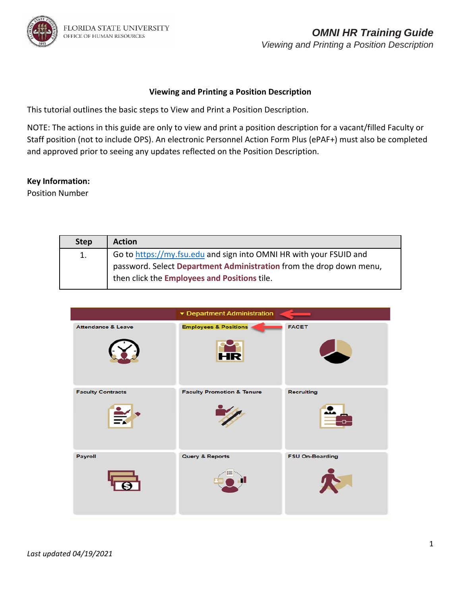

### **Viewing and Printing a Position Description**

This tutorial outlines the basic steps to View and Print a Position Description.

NOTE: The actions in this guide are only to view and print a position description for a vacant/filled Faculty or Staff position (not to include OPS). An electronic Personnel Action Form Plus (ePAF+) must also be completed and approved prior to seeing any updates reflected on the Position Description.

### **Key Information:**

Position Number

| <b>Step</b> | <b>Action</b>                                                                                                       |
|-------------|---------------------------------------------------------------------------------------------------------------------|
| 1.          | Go to https://my.fsu.edu and sign into OMNI HR with your FSUID and                                                  |
|             | password. Select Department Administration from the drop down menu,<br>then click the Employees and Positions tile. |

|                               | ▼ Department Administration                   |                        |
|-------------------------------|-----------------------------------------------|------------------------|
| <b>Attendance &amp; Leave</b> | <b>Employees &amp; Positions</b><br><b>HR</b> | <b>FACET</b>           |
| <b>Faculty Contracts</b>      | <b>Faculty Promotion &amp; Tenure</b>         | <b>Recruiting</b>      |
| Payroll                       | <b>Query &amp; Reports</b>                    | <b>FSU On-Boarding</b> |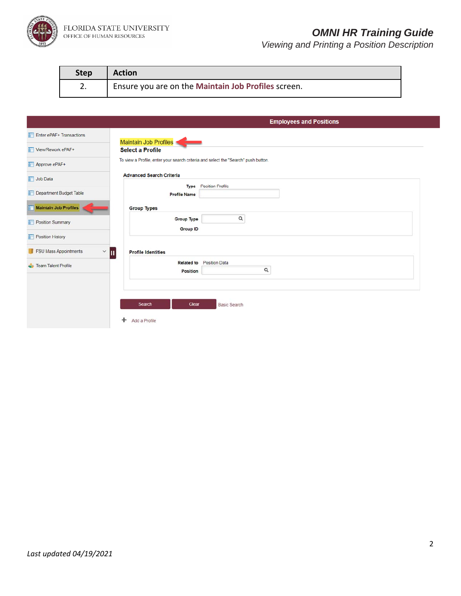

FLORIDA STATE UNIVERSITY<br>office of human resources

# *OMNI HR Training Guide*

| <b>Step</b> | <b>Action</b>                                       |
|-------------|-----------------------------------------------------|
| ⌒<br>z.     | Ensure you are on the Maintain Job Profiles screen. |

|                                                 | <b>Employees and Positions</b>                                                     |
|-------------------------------------------------|------------------------------------------------------------------------------------|
| Enter ePAF+ Transactions                        |                                                                                    |
| View/Rework ePAF+                               | Maintain Job Profiles<br><b>Select a Profile</b>                                   |
| Approve ePAF+                                   | To view a Profile, enter your search criteria and select the "Search" push button. |
| <b>T</b> Job Data                               | <b>Advanced Search Criteria</b>                                                    |
| Department Budget Table                         | <b>Position Profile</b><br><b>Type</b><br><b>Profile Name</b>                      |
| Maintain Job Profiles                           | <b>Group Types</b>                                                                 |
| Position Summary                                | $\alpha$<br><b>Group Type</b><br><b>Group ID</b>                                   |
| Position History                                |                                                                                    |
| <b>FSU Mass Appointments</b><br>$~\check{}~$ II | <b>Profile Identities</b>                                                          |
| Team Talent Profile                             | Related to Position Data<br>Q<br>Position                                          |
|                                                 |                                                                                    |
|                                                 | Search<br>Clear<br><b>Basic Search</b>                                             |
|                                                 | ÷<br>Add a Profile                                                                 |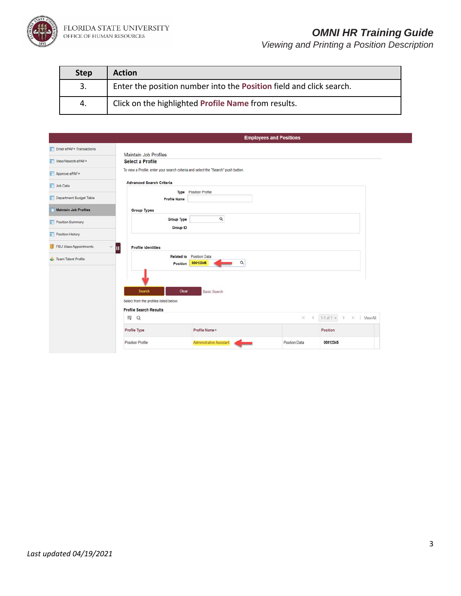

## *OMNI HR Training Guide*

| <b>Step</b> | <b>Action</b>                                                              |
|-------------|----------------------------------------------------------------------------|
| 3.          | Enter the position number into the <b>Position</b> field and click search. |
| 4.          | Click on the highlighted Profile Name from results.                        |

|                              |                                                                                    |                                 | <b>Employees and Positions</b> |                                |
|------------------------------|------------------------------------------------------------------------------------|---------------------------------|--------------------------------|--------------------------------|
| Enter ePAF+ Transactions     | <b>Maintain Job Profiles</b>                                                       |                                 |                                |                                |
| View/Rework ePAF+            | <b>Select a Profile</b>                                                            |                                 |                                |                                |
| Approve ePAF+                | To view a Profile, enter your search criteria and select the "Search" push button. |                                 |                                |                                |
| <b>T</b> Job Data            | <b>Advanced Search Criteria</b>                                                    |                                 |                                |                                |
| Department Budget Table      | Type<br><b>Profile Name</b>                                                        | <b>Position Profile</b>         |                                |                                |
| <b>Maintain Job Profiles</b> | <b>Group Types</b>                                                                 |                                 |                                |                                |
| Position Summary             | <b>Group Type</b><br><b>Group ID</b>                                               | Q                               |                                |                                |
| Position History             |                                                                                    |                                 |                                |                                |
| FSU Mass Appointments        | $~^{\circ}$ II<br><b>Profile Identities</b>                                        |                                 |                                |                                |
| Team Talent Profile          | <b>Related to</b><br>Position                                                      | Position Data<br>00012345<br>Q  |                                |                                |
|                              | Search<br>Clear<br>Select from the profiles listed below:                          | <b>Basic Search</b>             |                                |                                |
|                              | <b>Profile Search Results</b>                                                      |                                 |                                |                                |
|                              | 冊<br>$\alpha$                                                                      |                                 | 14.                            | $1-1$ of $1 - v$<br>I View All |
|                              | Profile Type                                                                       | Profile Name <sup>A</sup>       |                                | Position                       |
|                              | Position Profile                                                                   | <b>Administrative Assistant</b> | Position Data                  | 00012345                       |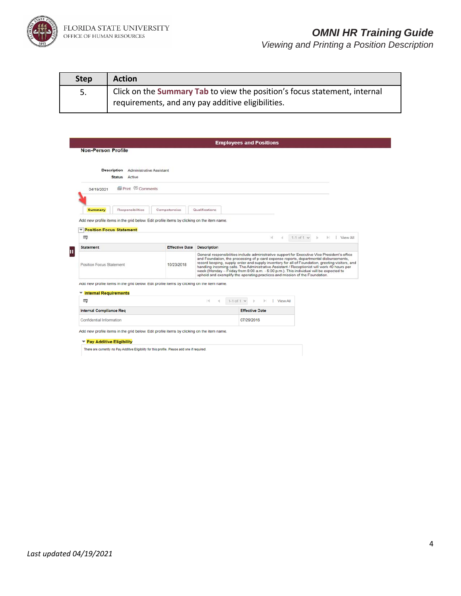

# *OMNI HR Training Guide*

| <b>Step</b> | <b>Action</b>                                                             |
|-------------|---------------------------------------------------------------------------|
| 5.          | Click on the Summary Tab to view the position's focus statement, internal |
|             | requirements, and any pay additive eligibilities.                         |

|                                                                                                                         |                       |                    | <b>Employees and Positions</b>                                                                                                                                                                                                                                                                                                                                                                                                                                   |                     |                                            |
|-------------------------------------------------------------------------------------------------------------------------|-----------------------|--------------------|------------------------------------------------------------------------------------------------------------------------------------------------------------------------------------------------------------------------------------------------------------------------------------------------------------------------------------------------------------------------------------------------------------------------------------------------------------------|---------------------|--------------------------------------------|
| <b>Non-Person Profile</b>                                                                                               |                       |                    |                                                                                                                                                                                                                                                                                                                                                                                                                                                                  |                     |                                            |
|                                                                                                                         |                       |                    |                                                                                                                                                                                                                                                                                                                                                                                                                                                                  |                     |                                            |
| Description<br>Administrative Assistant                                                                                 |                       |                    |                                                                                                                                                                                                                                                                                                                                                                                                                                                                  |                     |                                            |
| Status Active                                                                                                           |                       |                    |                                                                                                                                                                                                                                                                                                                                                                                                                                                                  |                     |                                            |
| <b>S</b> Print © Comments<br>04/19/2021                                                                                 |                       |                    |                                                                                                                                                                                                                                                                                                                                                                                                                                                                  |                     |                                            |
|                                                                                                                         |                       |                    |                                                                                                                                                                                                                                                                                                                                                                                                                                                                  |                     |                                            |
| Responsibilities<br>Summary                                                                                             | Competencies          | Qualifications     |                                                                                                                                                                                                                                                                                                                                                                                                                                                                  |                     |                                            |
| Add new profile items in the grid below. Edit profile items by clicking on the item name.                               |                       |                    |                                                                                                                                                                                                                                                                                                                                                                                                                                                                  |                     |                                            |
|                                                                                                                         |                       |                    |                                                                                                                                                                                                                                                                                                                                                                                                                                                                  |                     |                                            |
| <b>Position Focus Statement</b><br>v<br>壓                                                                               |                       |                    | 141<br>d.                                                                                                                                                                                                                                                                                                                                                                                                                                                        | $1-1$ of 1 $\times$ | $\left\lfloor n \right\rfloor$<br>View All |
|                                                                                                                         |                       |                    |                                                                                                                                                                                                                                                                                                                                                                                                                                                                  |                     |                                            |
| <b>Statement</b>                                                                                                        | <b>Effective Date</b> | <b>Description</b> | General responsibilities include administrative support for Executive Vice President's office                                                                                                                                                                                                                                                                                                                                                                    |                     |                                            |
| Position Focus Statement                                                                                                | 10/23/2018            |                    | and Foundation, the processing of p-card expense reports, departmental disbursements,<br>record keeping, supply order and supply inventory for all of Foundation, greeting visitors, and<br>handling incoming calls. The Administrative Assistant / Receptionist will work 40 hours per<br>week (Monday - Friday from 8:00 a.m. - 5:00 p.m.). This individual will be expected to<br>uphold and exemplify the operating practices and mission of the Foundation. |                     |                                            |
| Add new profile items in the grid below. Edit profile items by clicking on the item name.                               |                       |                    |                                                                                                                                                                                                                                                                                                                                                                                                                                                                  |                     |                                            |
| ▼ Internal Requirements                                                                                                 |                       |                    |                                                                                                                                                                                                                                                                                                                                                                                                                                                                  |                     |                                            |
|                                                                                                                         |                       |                    |                                                                                                                                                                                                                                                                                                                                                                                                                                                                  |                     |                                            |
| 罫                                                                                                                       |                       | ы                  | 1-1 of 1 $\vee$<br><b>View All</b><br>$\mathbb{H}$                                                                                                                                                                                                                                                                                                                                                                                                               |                     |                                            |
|                                                                                                                         |                       |                    | <b>Effective Date</b>                                                                                                                                                                                                                                                                                                                                                                                                                                            |                     |                                            |
| <b>Internal Compliance Req</b><br>Confidential Information                                                              |                       |                    | 07/29/2016                                                                                                                                                                                                                                                                                                                                                                                                                                                       |                     |                                            |
|                                                                                                                         |                       |                    |                                                                                                                                                                                                                                                                                                                                                                                                                                                                  |                     |                                            |
| Add new profile items in the grid below. Edit profile items by clicking on the item name.<br>▼ Pay Additive Eligibility |                       |                    |                                                                                                                                                                                                                                                                                                                                                                                                                                                                  |                     |                                            |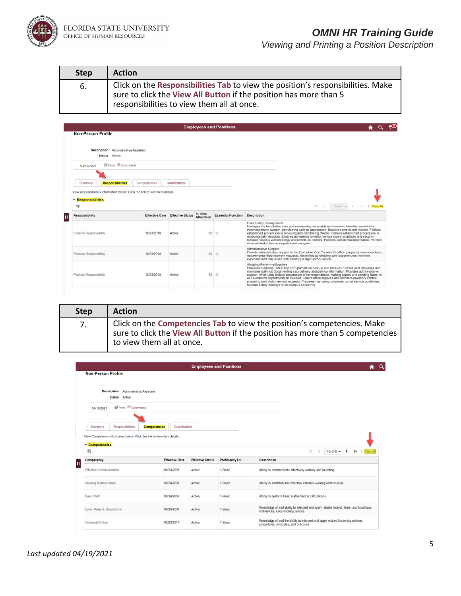

| <b>Step</b> | <b>Action</b>                                                                                                                                                                                      |
|-------------|----------------------------------------------------------------------------------------------------------------------------------------------------------------------------------------------------|
| 6.          | Click on the Responsibilities Tab to view the position's responsibilities. Make<br>sure to click the View All Button if the position has more than 5<br>responsibilities to view them all at once. |

|                                    |                                                                               |                                        |                        | <b>Employees and Positions</b> |                                                                                                                                                                                                                                                                                                                                                                                                                                                                                                                                                                                |                             |
|------------------------------------|-------------------------------------------------------------------------------|----------------------------------------|------------------------|--------------------------------|--------------------------------------------------------------------------------------------------------------------------------------------------------------------------------------------------------------------------------------------------------------------------------------------------------------------------------------------------------------------------------------------------------------------------------------------------------------------------------------------------------------------------------------------------------------------------------|-----------------------------|
| <b>Non-Person Profile</b>          |                                                                               |                                        |                        |                                |                                                                                                                                                                                                                                                                                                                                                                                                                                                                                                                                                                                |                             |
| <b>Status</b> Active               | <b>Description</b> Administrative Assistant                                   |                                        |                        |                                |                                                                                                                                                                                                                                                                                                                                                                                                                                                                                                                                                                                |                             |
| 04/19/2021                         | <b>S</b> Print © Comments                                                     |                                        |                        |                                |                                                                                                                                                                                                                                                                                                                                                                                                                                                                                                                                                                                |                             |
|                                    |                                                                               |                                        |                        |                                |                                                                                                                                                                                                                                                                                                                                                                                                                                                                                                                                                                                |                             |
| <b>Responsibilities</b><br>Summary | Competencies                                                                  | Qualifications                         |                        |                                |                                                                                                                                                                                                                                                                                                                                                                                                                                                                                                                                                                                |                             |
|                                    | View responsibilities information below. Click the link to view item details. |                                        |                        |                                |                                                                                                                                                                                                                                                                                                                                                                                                                                                                                                                                                                                |                             |
| <b>Example 1</b> Responsibilities  |                                                                               |                                        |                        |                                |                                                                                                                                                                                                                                                                                                                                                                                                                                                                                                                                                                                |                             |
| 眼                                  |                                                                               |                                        |                        |                                | $1-3$ of $3 \vee$<br>$\vert \cdot \vert$<br>$\rightarrow$<br>$\sim$                                                                                                                                                                                                                                                                                                                                                                                                                                                                                                            | $\triangleright$   View All |
| Responsibility                     |                                                                               | <b>Effective Date Effective Status</b> | $%$ Time<br>Allocation | <b>Essential Function</b>      | Description                                                                                                                                                                                                                                                                                                                                                                                                                                                                                                                                                                    |                             |
| Position Responsibility            | 10/23/2018                                                                    | Active                                 | 50                     | $\mathbb{Z}$                   | Front Lobby Management<br>Manages the front lobby area and maintaining an orderly environment. Handles a multi-line<br>incoming phone system, transferring calls as appropriate. Receives and directs visitors. Follows<br>established procedures in receiving and distributing checks. Follows established procedures in<br>receiving cash deposits. Ensures adherence to visitor/vendor sign-in practices and security<br>features. Assists with meetings and events as needed. Protects confidential information. Perform<br>other related duties as required and assigned. |                             |
| Position Responsibility            | 10/23/2018                                                                    | Active                                 | 40                     | 72                             | Administrative Support<br>Provide administrative support to the Executive Vice President's office, prepares correspondence,<br>departmental disbursement requests, reconciles purchasing card expenditures, monitors<br>expenses and may assist with monthly budget reconciliation.                                                                                                                                                                                                                                                                                            |                             |
| Position Responsibility            | 10/23/2018                                                                    | Active                                 |                        | $10$ $\Box$                    | Shipping/Receiving/Supplies<br>Prepares outgoing FedEx and UPS parcels for pick-up and receives / routes said deliveries and<br>maintains daily log documenting said delivery and pick-up information. Provides administrative<br>support, which may include preparation of correspondence, making copies and sending faxes, to<br>all Foundation departments as needed. Orders office supplies and monitors inventory control.<br>preparing said disbursement requests. Prepares mail using university postal service quidelines.                                             |                             |

| <b>Step</b> | <b>Action</b>                                                                                                                                                                          |
|-------------|----------------------------------------------------------------------------------------------------------------------------------------------------------------------------------------|
| 7.          | Click on the Competencies Tab to view the position's competencies. Make<br>sure to click the View All Button if the position has more than 5 competencies<br>to view them all at once. |

|                                                                                             |                                       |                         | <b>Employees and Positions</b> |                                                                                                                               |
|---------------------------------------------------------------------------------------------|---------------------------------------|-------------------------|--------------------------------|-------------------------------------------------------------------------------------------------------------------------------|
| <b>Non-Person Profile</b>                                                                   |                                       |                         |                                |                                                                                                                               |
| <b>Description</b> Administrative Assistant                                                 |                                       |                         |                                |                                                                                                                               |
| <b>Status</b> Active                                                                        |                                       |                         |                                |                                                                                                                               |
| <b>S</b> Print <sup>©</sup> Comments<br>04/19/2021                                          |                                       |                         |                                |                                                                                                                               |
|                                                                                             |                                       |                         |                                |                                                                                                                               |
| Summary<br>Responsibilities                                                                 | Qualifications<br><b>Competencies</b> |                         |                                |                                                                                                                               |
| View Competency information below. Click the link to view item details.                     |                                       |                         |                                |                                                                                                                               |
| ▼ Competencies                                                                              |                                       |                         |                                |                                                                                                                               |
|                                                                                             |                                       |                         |                                |                                                                                                                               |
| 要                                                                                           |                                       |                         |                                | 1-5 of $8 - $<br>优<br>٠<br><b>View All</b>                                                                                    |
| Competency                                                                                  | <b>Effective Date</b>                 | <b>Effective Status</b> | Proficiency Lvl                | Description                                                                                                                   |
|                                                                                             | 08/24/2007                            | Active                  | 1-Basic                        | Ability to communicate effectively verbally and in writing.                                                                   |
|                                                                                             | 08/24/2007                            | Active                  | 1-Basic                        | Ability to establish and maintain effective working relationships.                                                            |
|                                                                                             | 08/24/2007                            | Active                  | 1-Basic                        | Ability to perform basic mathematical calculations.                                                                           |
| Effective Communication<br>Working Relationships<br>Basic Math<br>Laws, Rules & Regulations | 08/24/2007                            | Active                  | 1-Basic                        | Knowledge of and ability to interpret and apply related federal, state, and local laws,<br>ordinances, rules and regulations. |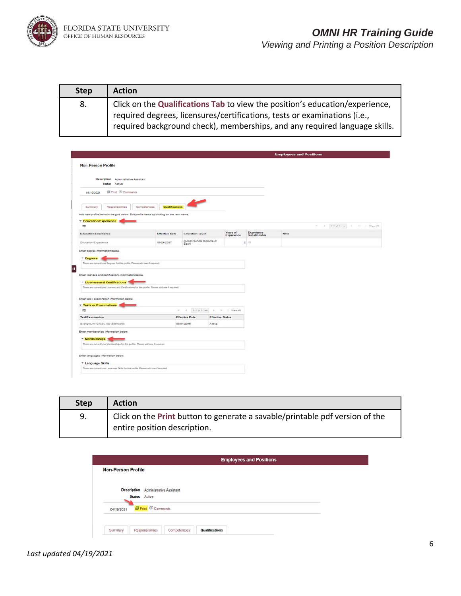

| <b>Step</b> | <b>Action</b>                                                                                                                                             |
|-------------|-----------------------------------------------------------------------------------------------------------------------------------------------------------|
| 8.          | Click on the Qualifications Tab to view the position's education/experience,<br>required degrees, licensures/certifications, tests or examinations (i.e., |
|             | required background check), memberships, and any required language skills.                                                                                |

|                                                                                                                                                         |                                |                                   |                         |                             | <b>Employees and Positions</b> |                                     |                        |
|---------------------------------------------------------------------------------------------------------------------------------------------------------|--------------------------------|-----------------------------------|-------------------------|-----------------------------|--------------------------------|-------------------------------------|------------------------|
| <b>Non-Person Profile</b>                                                                                                                               |                                |                                   |                         |                             |                                |                                     |                        |
| Description Administrative Assistant<br><b>Status</b> Active                                                                                            |                                |                                   |                         |                             |                                |                                     |                        |
| <b>El Print</b> <sup>©</sup> Comments<br>04/19/2021                                                                                                     |                                |                                   |                         |                             |                                |                                     |                        |
| Summary<br>Responsibilities                                                                                                                             | Qualifications<br>Competencies |                                   |                         |                             |                                |                                     |                        |
| Add new profile items in the grid below. Edit profile items by clicking on the item name.<br><b>Education/Experience</b><br>m                           |                                |                                   |                         |                             |                                | 1-1 of 1 me. 3-<br>$\sim$<br>$\sim$ | <b>FL. J. View All</b> |
| Education/Experience                                                                                                                                    | <b>Effective Date</b>          | <b>Education Level</b>            | Years of<br>Experience  | Experience<br>Substitutable | Note                           |                                     |                        |
| Education/Experience                                                                                                                                    | 08/24/2007                     | C-High School Diploma or<br>Equiv |                         | 2.11                        |                                |                                     |                        |
| * Degrees<br>There are currently no Degrees for this profile. Please add one if required.                                                               |                                |                                   |                         |                             |                                |                                     |                        |
| * Licenses and Certifications<br>There are currently no Licenses and Certifications for this profile. Please add one if required.                       |                                |                                   |                         |                             |                                |                                     |                        |
|                                                                                                                                                         |                                |                                   |                         |                             |                                |                                     |                        |
| $\overline{\rm m}$                                                                                                                                      | $\mathcal{A}$                  | $-4$                              | 1-1 of 1 v 1 1 View All |                             |                                |                                     |                        |
| Enter licenses and certifications information below.<br>Enter test / examination information below.<br><b>Tests or Examinations</b><br>Test/Examination |                                | <b>Effective Date</b>             | <b>Effective Status</b> |                             |                                |                                     |                        |
| Background Check, SD (Standard)                                                                                                                         |                                | 08/01/2015                        | Active                  |                             |                                |                                     |                        |
|                                                                                                                                                         |                                |                                   |                         |                             |                                |                                     |                        |
| - Memberships<br>There are currently no Memberships for this profile. Please add one if required.                                                       |                                |                                   |                         |                             |                                |                                     |                        |
| Enter memberships information below.                                                                                                                    |                                |                                   |                         |                             |                                |                                     |                        |
| Enter languages information below.<br>- Language Skills                                                                                                 |                                |                                   |                         |                             |                                |                                     |                        |

| <b>Step</b> | <b>Action</b>                                                                                                |
|-------------|--------------------------------------------------------------------------------------------------------------|
| 9.          | Click on the Print button to generate a savable/printable pdf version of the<br>entire position description. |

| <b>Employees and Positions</b>                                       |  |
|----------------------------------------------------------------------|--|
| <b>Non-Person Profile</b>                                            |  |
|                                                                      |  |
| <b>Description</b> Administrative Assistant<br><b>Status</b> Active  |  |
| <b>Print D</b> Comments<br>04/19/2021                                |  |
|                                                                      |  |
| Summary<br>Responsibilities<br><b>Qualifications</b><br>Competencies |  |